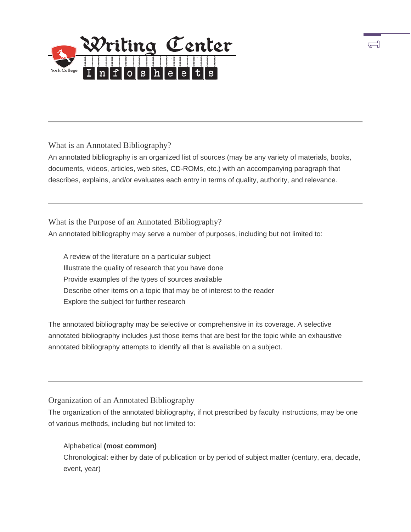

What is an Annotated Bibliography?

 An annotated bibliography is an organized list of sources (may be any variety of materials, books, documents, videos, articles, web sites, CD-ROMs, etc.) with an accompanying paragraph that describes, explains, and/or evaluates each entry in terms of quality, authority, and relevance.

त्नी

 An annotated bibliography may serve a number of purposes, including but not limited to: What is the Purpose of an Annotated Bibliography?

 A review of the literature on a particular subject Illustrate the quality of research that you have done Describe other items on a topic that may be of interest to the reader Provide examples of the types of sources available Explore the subject for further research

 The annotated bibliography may be selective or comprehensive in its coverage. A selective annotated bibliography includes just those items that are best for the topic while an exhaustive annotated bibliography attempts to identify all that is available on a subject.

# Organization of an Annotated Bibliography

 The organization of the annotated bibliography, if not prescribed by faculty instructions, may be one of various methods, including but not limited to:

# Alphabetical **(most common)**

 Chronological: either by date of publication or by period of subject matter (century, era, decade, event, year)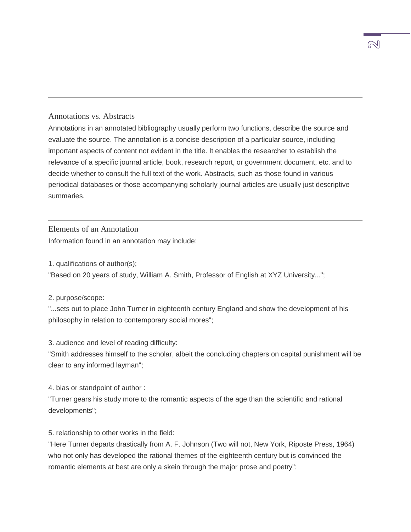### Annotations vs. Abstracts

 Annotations in an annotated bibliography usually perform two functions, describe the source and important aspects of content not evident in the title. It enables the researcher to establish the relevance of a specific journal article, book, research report, or government document, etc. and to decide whether to consult the full text of the work. Abstracts, such as those found in various periodical databases or those accompanying scholarly journal articles are usually just descriptive evaluate the source. The annotation is a concise description of a particular source, including summaries.

Elements of an Annotation

Information found in an annotation may include:

1. qualifications of author(s);

"Based on 20 years of study, William A. Smith, Professor of English at XYZ University...";

2. purpose/scope:

 "...sets out to place John Turner in eighteenth century England and show the development of his philosophy in relation to contemporary social mores";

3. audience and level of reading difficulty:

 "Smith addresses himself to the scholar, albeit the concluding chapters on capital punishment will be clear to any informed layman";

4. bias or standpoint of author :

"Turner gears his study more to the romantic aspects of the age than the scientific and rational developments";

5. relationship to other works in the field:

 "Here Turner departs drastically from A. F. Johnson (Two will not, New York, Riposte Press, 1964) who not only has developed the rational themes of the eighteenth century but is convinced the romantic elements at best are only a skein through the major prose and poetry";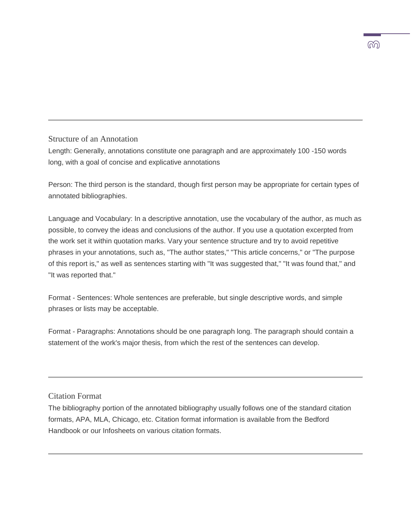### Structure of an Annotation

 Length: Generally, annotations constitute one paragraph and are approximately 100 -150 words long, with a goal of concise and explicative annotations

 Person: The third person is the standard, though first person may be appropriate for certain types of annotated bibliographies.

 Language and Vocabulary: In a descriptive annotation, use the vocabulary of the author, as much as possible, to convey the ideas and conclusions of the author. If you use a quotation excerpted from the work set it within quotation marks. Vary your sentence structure and try to avoid repetitive phrases in your annotations, such as, "The author states," "This article concerns," or "The purpose of this report is," as well as sentences starting with "It was suggested that," "It was found that," and "It was reported that."

 Format - Sentences: Whole sentences are preferable, but single descriptive words, and simple phrases or lists may be acceptable.

 Format - Paragraphs: Annotations should be one paragraph long. The paragraph should contain a statement of the work's major thesis, from which the rest of the sentences can develop.

Citation Format

 The bibliography portion of the annotated bibliography usually follows one of the standard citation formats, APA, MLA, Chicago, etc. Citation format information is available from the Bedford Handbook or our Infosheets on various citation formats.